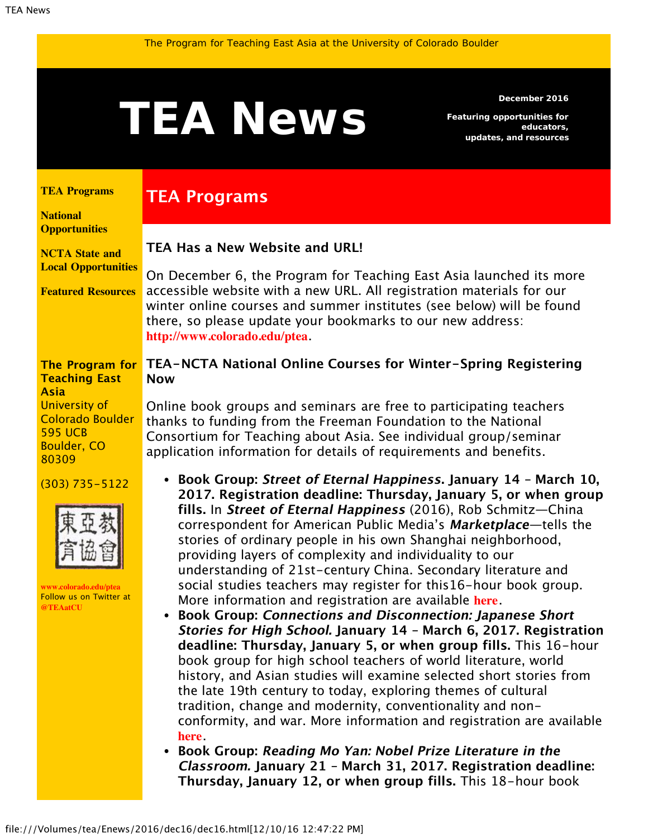<span id="page-0-1"></span>

**TEA Has a New Website and URL!**

**TEA Programs**

**December 2016**

*Featuring opportunities for educators, updates, and resources*

#### <span id="page-0-0"></span>**[TEA Programs](#page-0-0)**

**[National](#page-0-1) [Opportunities](#page-0-1)**

**[NCTA State and](#page-3-0) [Local Opportunities](#page-3-0)**

**[Featured Resources](#page-4-0)**

On December 6, the Program for Teaching East Asia launched its more accessible website with a new URL. All registration materials for our winter online courses and summer institutes (see below) will be found there, so please update your bookmarks to our new address: **<http://www.colorado.edu/ptea>**.

### **The Program for Teaching East Asia** University of Colorado Boulder 595 UCB Boulder, CO

(303) 735-5122

80309



**[www.colorado.edu/ptea](http://www.colorado.edu/ptea)** Follow us on Twitter at **[@TEAatCU](https://twitter.com/TEAatCU)**

### **TEA-NCTA National Online Courses for Winter-Spring Registering Now**

Online book groups and seminars are free to participating teachers thanks to funding from the Freeman Foundation to the National Consortium for Teaching about Asia. See individual group/seminar application information for details of requirements and benefits.

- **Book Group: Street of Eternal Happiness. January 14 March 10, 2017. Registration deadline: Thursday, January 5, or when group fills.** In **Street of Eternal Happiness** (2016), Rob Schmitz—China correspondent for American Public Media's **Marketplace**—tells the stories of ordinary people in his own Shanghai neighborhood, providing layers of complexity and individuality to our understanding of 21st-century China. Secondary literature and social studies teachers may register for this16-hour book group. More information and registration are available **[here](http://www.colorado.edu/ptea/sites/default/files/attached-files/chinastreet.pdf)**.
- **Book Group: Connections and Disconnection: Japanese Short Stories for High School. January 14 – March 6, 2017. Registration deadline: Thursday, January 5, or when group fills.** This 16-hour book group for high school teachers of world literature, world history, and Asian studies will examine selected short stories from the late 19th century to today, exploring themes of cultural tradition, change and modernity, conventionality and nonconformity, and war. More information and registration are available **[here](http://www.colorado.edu/ptea/sites/default/files/attached-files/japanconnect.pdf)**.
- **Book Group: Reading Mo Yan: Nobel Prize Literature in the Classroom. January 21 – March 31, 2017. Registration deadline: Thursday, January 12, or when group fills.** This 18-hour book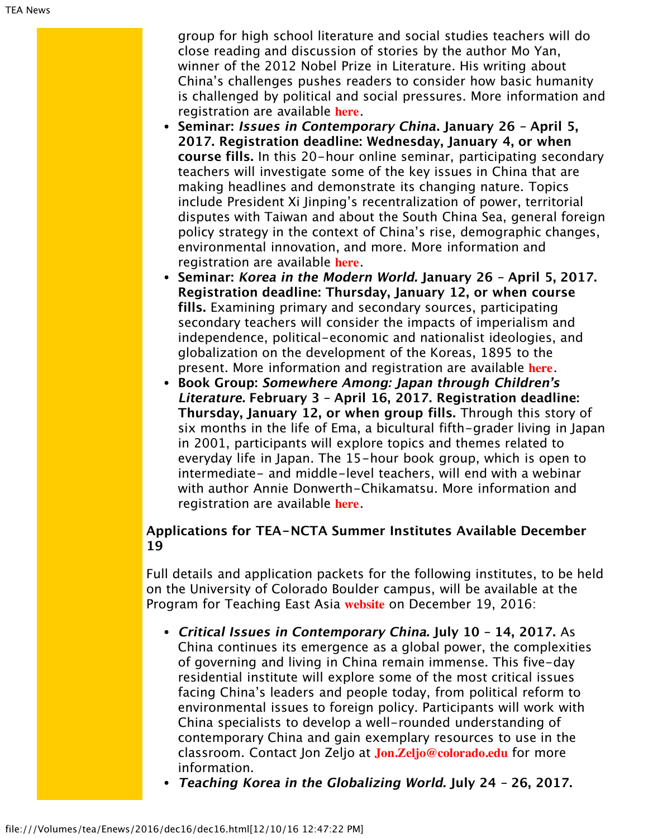group for high school literature and social studies teachers will do close reading and discussion of stories by the author Mo Yan, winner of the 2012 Nobel Prize in Literature. His writing about China's challenges pushes readers to consider how basic humanity is challenged by political and social pressures. More information and registration are available **[here](http://www.colorado.edu/ptea/sites/default/files/attached-files/moyan.pdf)**.

- **Seminar: Issues in Contemporary China. January 26 April 5, 2017. Registration deadline: Wednesday, January 4, or when course fills.** In this 20-hour online seminar, participating secondary teachers will investigate some of the key issues in China that are making headlines and demonstrate its changing nature. Topics include President Xi Jinping's recentralization of power, territorial disputes with Taiwan and about the South China Sea, general foreign policy strategy in the context of China's rise, demographic changes, environmental innovation, and more. More information and registration are available **[here](http://www.colorado.edu/ptea/sites/default/files/attached-files/contempchinaissues_flyer_winspr2017.pdf)**.
- **Seminar: Korea in the Modern World. January 26 April 5, 2017. Registration deadline: Thursday, January 12, or when course fills.** Examining primary and secondary sources, participating secondary teachers will consider the impacts of imperialism and independence, political-economic and nationalist ideologies, and globalization on the development of the Koreas, 1895 to the present. More information and registration are available **[here](http://www.colorado.edu/ptea/sites/default/files/attached-files/2017koreasemflyer.pdf)**.
- **Book Group: Somewhere Among: Japan through Children's Literature. February 3 – April 16, 2017. Registration deadline: Thursday, January 12, or when group fills.** Through this story of six months in the life of Ema, a bicultural fifth-grader living in Japan in 2001, participants will explore topics and themes related to everyday life in Japan. The 15-hour book group, which is open to intermediate- and middle-level teachers, will end with a webinar with author Annie Donwerth-Chikamatsu. More information and registration are available **[here](http://www.colorado.edu/ptea/sites/default/files/attached-files/ws2017jpkidlitflyer.pdf)**.

## **Applications for TEA-NCTA Summer Institutes Available December 19**

Full details and application packets for the following institutes, to be held on the University of Colorado Boulder campus, will be available at the Program for Teaching East Asia **[website](http://www.colorado.edu/ptea)** on December 19, 2016:

- **Critical Issues in Contemporary China. July 10 14, 2017.** As China continues its emergence as a global power, the complexities of governing and living in China remain immense. This five-day residential institute will explore some of the most critical issues facing China's leaders and people today, from political reform to environmental issues to foreign policy. Participants will work with China specialists to develop a well-rounded understanding of contemporary China and gain exemplary resources to use in the classroom. Contact Jon Zeljo at **[Jon.Zeljo@colorado.edu](mailto:Jon.Zeljo@colorado.edu)** for more information.
- **Teaching Korea in the Globalizing World. July 24 26, 2017.**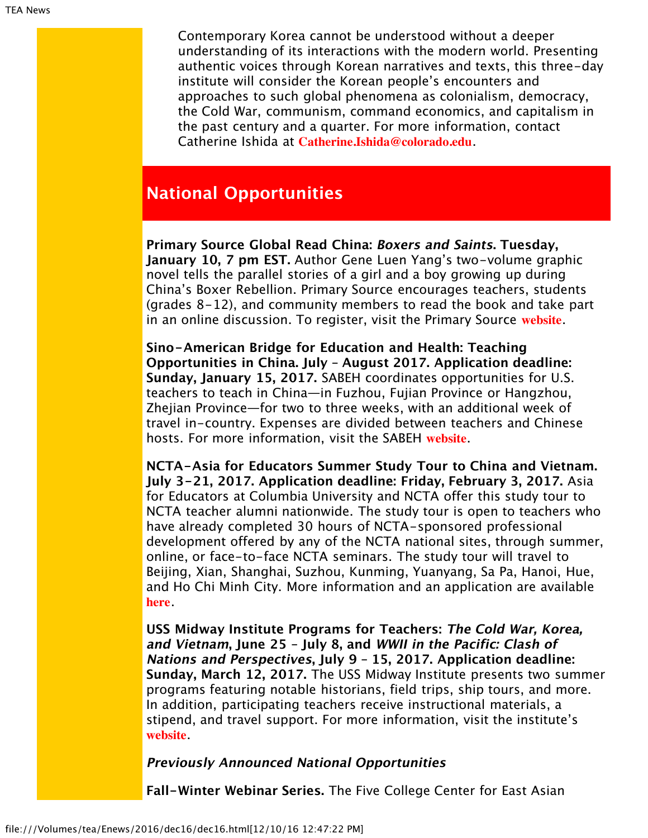Contemporary Korea cannot be understood without a deeper understanding of its interactions with the modern world. Presenting authentic voices through Korean narratives and texts, this three-day institute will consider the Korean people's encounters and approaches to such global phenomena as colonialism, democracy, the Cold War, communism, command economics, and capitalism in the past century and a quarter. For more information, contact Catherine Ishida at **[Catherine.Ishida@colorado.edu](mailto:Catherine.Ishida@colorado.edu)**.

# **National Opportunities**

**Primary Source Global Read China: Boxers and Saints. Tuesday, January 10, 7 pm EST.** Author Gene Luen Yang's two-volume graphic novel tells the parallel stories of a girl and a boy growing up during China's Boxer Rebellion. Primary Source encourages teachers, students (grades 8-12), and community members to read the book and take part in an online discussion. To register, visit the Primary Source **[website](http://www.primarysource.org/globalread)**.

**Sino-American Bridge for Education and Health: Teaching Opportunities in China. July – August 2017. Application deadline: Sunday, January 15, 2017.** SABEH coordinates opportunities for U.S. teachers to teach in China—in Fuzhou, Fujian Province or Hangzhou, Zhejian Province—for two to three weeks, with an additional week of travel in-country. Expenses are divided between teachers and Chinese hosts. For more information, visit the SABEH **[website](http://www.sabeh.org/)**.

**NCTA-Asia for Educators Summer Study Tour to China and Vietnam. July 3-21, 2017. Application deadline: Friday, February 3, 2017.** Asia for Educators at Columbia University and NCTA offer this study tour to NCTA teacher alumni nationwide. The study tour is open to teachers who have already completed 30 hours of NCTA-sponsored professional development offered by any of the NCTA national sites, through summer, online, or face-to-face NCTA seminars. The study tour will travel to Beijing, Xian, Shanghai, Suzhou, Kunming, Yuanyang, Sa Pa, Hanoi, Hue, and Ho Chi Minh City. More information and an application are available **[here](http://www.columbia.edu/itc/eacp/ncta-columbia/studytours/index.html)**.

**USS Midway Institute Programs for Teachers: The Cold War, Korea, and Vietnam, June 25 – July 8, and WWII in the Pacific: Clash of Nations and Perspectives, July 9 – 15, 2017. Application deadline: Sunday, March 12, 2017.** The USS Midway Institute presents two summer programs featuring notable historians, field trips, ship tours, and more. In addition, participating teachers receive instructional materials, a stipend, and travel support. For more information, visit the institute's **[website](http://www.midway.org/midway-institute-teachers)**.

### **Previously Announced National Opportunities**

**Fall-Winter Webinar Series.** The Five College Center for East Asian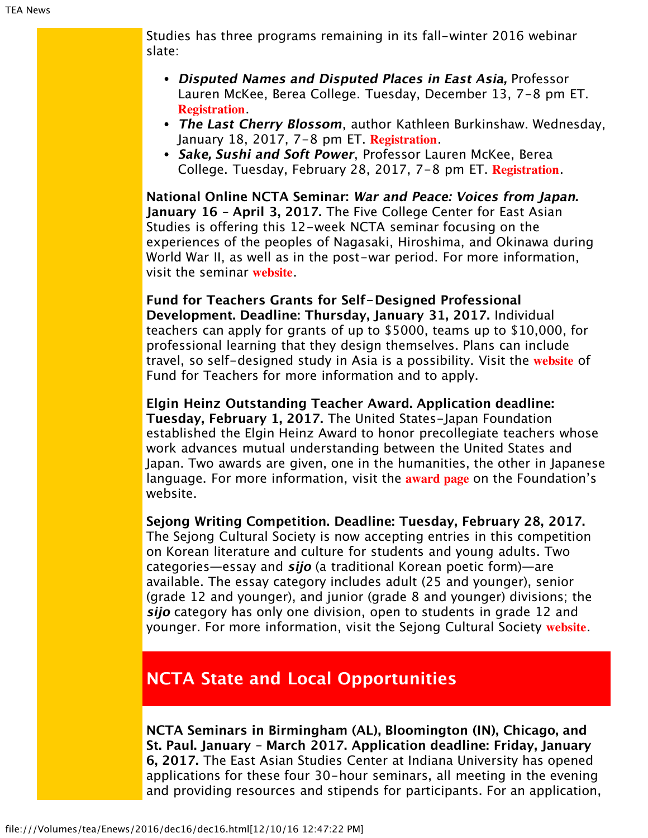Studies has three programs remaining in its fall-winter 2016 webinar slate:

- **Disputed Names and Disputed Places in East Asia,** Professor Lauren McKee, Berea College. Tuesday, December 13, 7-8 pm ET. **[Registration](https://attendee.gotowebinar.com/register/916852338137523201)**.
- **The Last Cherry Blossom**, author Kathleen Burkinshaw. Wednesday, January 18, 2017, 7-8 pm ET. **[Registration](https://attendee.gotowebinar.com/register/8494682079059305474)**.
- **Sake, Sushi and Soft Power**, Professor Lauren McKee, Berea College. Tuesday, February 28, 2017, 7-8 pm ET. **[Registration](https://attendee.gotowebinar.com/register/2872355758413758466)**.

**National Online NCTA Seminar: War and Peace: Voices from Japan. January 16 – April 3, 2017.** The Five College Center for East Asian Studies is offering this 12-week NCTA seminar focusing on the experiences of the peoples of Nagasaki, Hiroshima, and Okinawa during World War II, as well as in the post-war period. For more information, visit the seminar **[website](https://www.fivecolleges.edu/fcceas/ncta/national-online)**.

**Fund for Teachers Grants for Self-Designed Professional Development. Deadline: Thursday, January 31, 2017.** Individual teachers can apply for grants of up to \$5000, teams up to \$10,000, for professional learning that they design themselves. Plans can include travel, so self-designed study in Asia is a possibility. Visit the **[website](http://fft.fundforteachers.org/)** of Fund for Teachers for more information and to apply.

**Elgin Heinz Outstanding Teacher Award. Application deadline: Tuesday, February 1, 2017.** The United States-Japan Foundation established the Elgin Heinz Award to honor precollegiate teachers whose work advances mutual understanding between the United States and Japan. Two awards are given, one in the humanities, the other in Japanese language. For more information, visit the **[award page](http://us-jf.org/programs/elgin-heinz-teacher-awards/)** on the Foundation's website.

**Sejong Writing Competition. Deadline: Tuesday, February 28, 2017.** The Sejong Cultural Society is now accepting entries in this competition on Korean literature and culture for students and young adults. Two categories—essay and **sijo** (a traditional Korean poetic form)—are available. The essay category includes adult (25 and younger), senior (grade 12 and younger), and junior (grade 8 and younger) divisions; the **sijo** category has only one division, open to students in grade 12 and younger. For more information, visit the Sejong Cultural Society **[website](http://www.sejongculturalsociety.org/writing/current/index.php)**.

# <span id="page-3-0"></span>**NCTA State and Local Opportunities**

**NCTA Seminars in Birmingham (AL), Bloomington (IN), Chicago, and St. Paul. January – March 2017. Application deadline: Friday, January 6, 2017.** The East Asian Studies Center at Indiana University has opened applications for these four 30-hour seminars, all meeting in the evening and providing resources and stipends for participants. For an application,